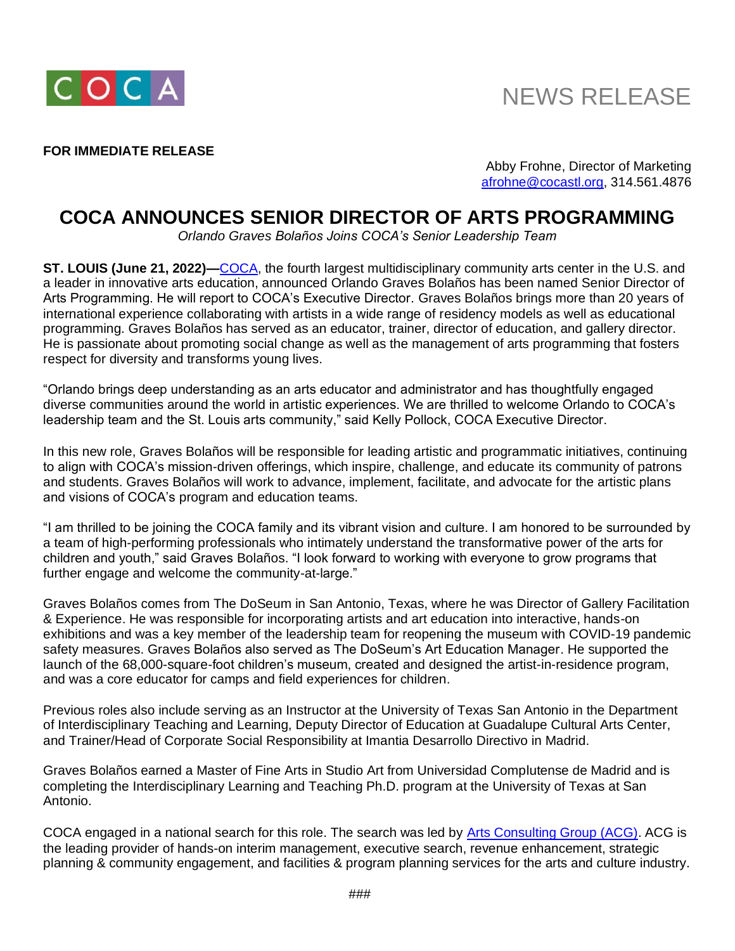

## NEWS RELEASE

## **FOR IMMEDIATE RELEASE**

Abby Frohne, Director of Marketing [afrohne@cocastl.org,](mailto:afrohne@cocastl.org) 314.561.4876

## **COCA ANNOUNCES SENIOR DIRECTOR OF ARTS PROGRAMMING**

*Orlando Graves Bolaños Joins COCA's Senior Leadership Team*

**ST. LOUIS (June 21, 2022)—**[COCA,](http://www.cocastl.org/) the fourth largest multidisciplinary community arts center in the U.S. and a leader in innovative arts education, announced Orlando Graves Bolaños has been named Senior Director of Arts Programming. He will report to COCA's Executive Director. Graves Bolaños brings more than 20 years of international experience collaborating with artists in a wide range of residency models as well as educational programming. Graves Bolaños has served as an educator, trainer, director of education, and gallery director. He is passionate about promoting social change as well as the management of arts programming that fosters respect for diversity and transforms young lives.

"Orlando brings deep understanding as an arts educator and administrator and has thoughtfully engaged diverse communities around the world in artistic experiences. We are thrilled to welcome Orlando to COCA's leadership team and the St. Louis arts community," said Kelly Pollock, COCA Executive Director.

In this new role, Graves Bolaños will be responsible for leading artistic and programmatic initiatives, continuing to align with COCA's mission-driven offerings, which inspire, challenge, and educate its community of patrons and students. Graves Bolaños will work to advance, implement, facilitate, and advocate for the artistic plans and visions of COCA's program and education teams.

"I am thrilled to be joining the COCA family and its vibrant vision and culture. I am honored to be surrounded by a team of high-performing professionals who intimately understand the transformative power of the arts for children and youth," said Graves Bolaños. "I look forward to working with everyone to grow programs that further engage and welcome the community-at-large."

Graves Bolaños comes from The DoSeum in San Antonio, Texas, where he was Director of Gallery Facilitation & Experience. He was responsible for incorporating artists and art education into interactive, hands-on exhibitions and was a key member of the leadership team for reopening the museum with COVID-19 pandemic safety measures. Graves Bolaños also served as The DoSeum's Art Education Manager. He supported the launch of the 68,000-square-foot children's museum, created and designed the artist-in-residence program, and was a core educator for camps and field experiences for children.

Previous roles also include serving as an Instructor at the University of Texas San Antonio in the Department of Interdisciplinary Teaching and Learning, Deputy Director of Education at Guadalupe Cultural Arts Center, and Trainer/Head of Corporate Social Responsibility at Imantia Desarrollo Directivo in Madrid.

Graves Bolaños earned a Master of Fine Arts in Studio Art from Universidad Complutense de Madrid and is completing the Interdisciplinary Learning and Teaching Ph.D. program at the University of Texas at San Antonio.

COCA engaged in a national search for this role. The search was led by [Arts Consulting Group \(ACG\).](https://artsconsulting.com/) ACG is the leading provider of hands-on interim management, executive search, revenue enhancement, strategic planning & community engagement, and facilities & program planning services for the arts and culture industry.